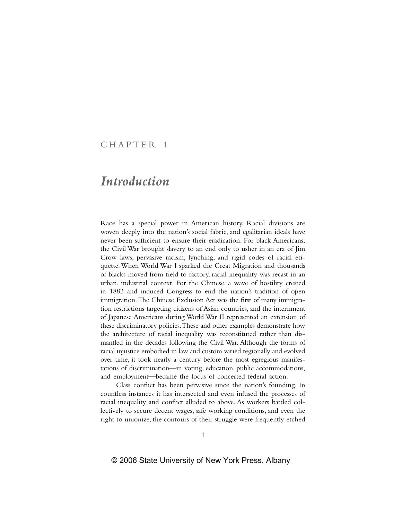# CHAPTER 1

# *Introduction*

Race has a special power in American history. Racial divisions are woven deeply into the nation's social fabric, and egalitarian ideals have never been sufficient to ensure their eradication. For black Americans, the Civil War brought slavery to an end only to usher in an era of Jim Crow laws, pervasive racism, lynching, and rigid codes of racial etiquette. When World War I sparked the Great Migration and thousands of blacks moved from field to factory, racial inequality was recast in an urban, industrial context. For the Chinese, a wave of hostility crested in 1882 and induced Congress to end the nation's tradition of open immigration. The Chinese Exclusion Act was the first of many immigration restrictions targeting citizens of Asian countries, and the internment of Japanese Americans during World War II represented an extension of these discriminatory policies. These and other examples demonstrate how the architecture of racial inequality was reconstituted rather than dismantled in the decades following the Civil War. Although the forms of racial injustice embodied in law and custom varied regionally and evolved over time, it took nearly a century before the most egregious manifestations of discrimination—in voting, education, public accommodations, and employment—became the focus of concerted federal action.

Class conflict has been pervasive since the nation's founding. In countless instances it has intersected and even infused the processes of racial inequality and conflict alluded to above. As workers battled collectively to secure decent wages, safe working conditions, and even the right to unionize, the contours of their struggle were frequently etched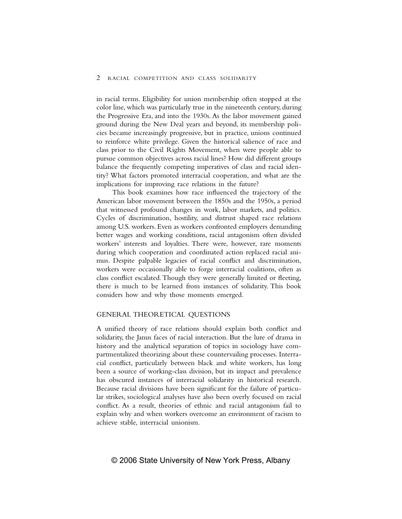in racial terms. Eligibility for union membership often stopped at the color line, which was particularly true in the nineteenth century, during the Progressive Era, and into the 1930s. As the labor movement gained ground during the New Deal years and beyond, its membership policies became increasingly progressive, but in practice, unions continued to reinforce white privilege. Given the historical salience of race and class prior to the Civil Rights Movement, when were people able to pursue common objectives across racial lines? How did different groups balance the frequently competing imperatives of class and racial identity? What factors promoted interracial cooperation, and what are the implications for improving race relations in the future?

This book examines how race influenced the trajectory of the American labor movement between the 1850s and the 1950s, a period that witnessed profound changes in work, labor markets, and politics. Cycles of discrimination, hostility, and distrust shaped race relations among U.S. workers. Even as workers confronted employers demanding better wages and working conditions, racial antagonism often divided workers' interests and loyalties. There were, however, rare moments during which cooperation and coordinated action replaced racial animus. Despite palpable legacies of racial conflict and discrimination, workers were occasionally able to forge interracial coalitions, often as class conflict escalated. Though they were generally limited or fleeting, there is much to be learned from instances of solidarity. This book considers how and why those moments emerged.

## GENERAL THEORETICAL QUESTIONS

A unified theory of race relations should explain both conflict and solidarity, the Janus faces of racial interaction. But the lure of drama in history and the analytical separation of topics in sociology have compartmentalized theorizing about these countervailing processes. Interracial conflict, particularly between black and white workers, has long been a source of working-class division, but its impact and prevalence has obscured instances of interracial solidarity in historical research. Because racial divisions have been significant for the failure of particular strikes, sociological analyses have also been overly focused on racial conflict. As a result, theories of ethnic and racial antagonism fail to explain why and when workers overcome an environment of racism to achieve stable, interracial unionism.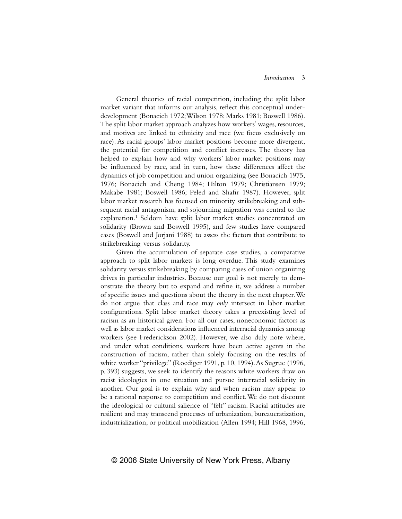General theories of racial competition, including the split labor market variant that informs our analysis, reflect this conceptual underdevelopment (Bonacich 1972; Wilson 1978; Marks 1981; Boswell 1986). The split labor market approach analyzes how workers' wages, resources, and motives are linked to ethnicity and race (we focus exclusively on race). As racial groups' labor market positions become more divergent, the potential for competition and conflict increases. The theory has helped to explain how and why workers' labor market positions may be influenced by race, and in turn, how these differences affect the dynamics of job competition and union organizing (see Bonacich 1975, 1976; Bonacich and Cheng 1984; Hilton 1979; Christiansen 1979; Makabe 1981; Boswell 1986; Peled and Shafir 1987). However, split labor market research has focused on minority strikebreaking and subsequent racial antagonism, and sojourning migration was central to the explanation.<sup>1</sup> Seldom have split labor market studies concentrated on solidarity (Brown and Boswell 1995), and few studies have compared cases (Boswell and Jorjani 1988) to assess the factors that contribute to strikebreaking versus solidarity.

Given the accumulation of separate case studies, a comparative approach to split labor markets is long overdue. This study examines solidarity versus strikebreaking by comparing cases of union organizing drives in particular industries. Because our goal is not merely to demonstrate the theory but to expand and refine it, we address a number of specific issues and questions about the theory in the next chapter. We do not argue that class and race may *only* intersect in labor market configurations. Split labor market theory takes a preexisting level of racism as an historical given. For all our cases, noneconomic factors as well as labor market considerations influenced interracial dynamics among workers (see Frederickson 2002). However, we also duly note where, and under what conditions, workers have been active agents in the construction of racism, rather than solely focusing on the results of white worker "privilege" (Roediger 1991, p. 10, 1994). As Sugrue (1996, p. 393) suggests, we seek to identify the reasons white workers draw on racist ideologies in one situation and pursue interracial solidarity in another. Our goal is to explain why and when racism may appear to be a rational response to competition and conflict. We do not discount the ideological or cultural salience of "felt" racism. Racial attitudes are resilient and may transcend processes of urbanization, bureaucratization, industrialization, or political mobilization (Allen 1994; Hill 1968, 1996,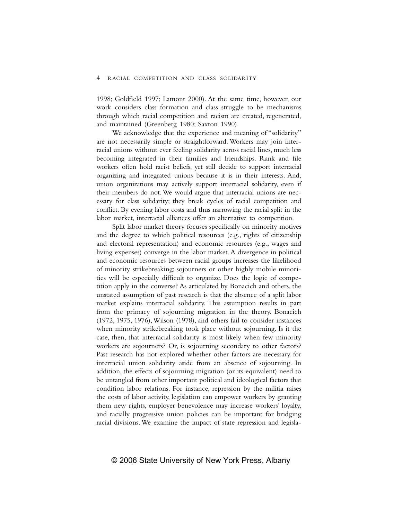1998; Goldfield 1997; Lamont 2000). At the same time, however, our work considers class formation and class struggle to be mechanisms through which racial competition and racism are created, regenerated, and maintained (Greenberg 1980; Saxton 1990).

We acknowledge that the experience and meaning of "solidarity" are not necessarily simple or straightforward. Workers may join interracial unions without ever feeling solidarity across racial lines, much less becoming integrated in their families and friendships. Rank and file workers often hold racist beliefs, yet still decide to support interracial organizing and integrated unions because it is in their interests. And, union organizations may actively support interracial solidarity, even if their members do not. We would argue that interracial unions are necessary for class solidarity; they break cycles of racial competition and conflict. By evening labor costs and thus narrowing the racial split in the labor market, interracial alliances offer an alternative to competition.

Split labor market theory focuses specifically on minority motives and the degree to which political resources (e.g., rights of citizenship and electoral representation) and economic resources (e.g., wages and living expenses) converge in the labor market. A divergence in political and economic resources between racial groups increases the likelihood of minority strikebreaking; sojourners or other highly mobile minorities will be especially difficult to organize. Does the logic of competition apply in the converse? As articulated by Bonacich and others, the unstated assumption of past research is that the absence of a split labor market explains interracial solidarity. This assumption results in part from the primacy of sojourning migration in the theory. Bonacich (1972, 1975, 1976), Wilson (1978), and others fail to consider instances when minority strikebreaking took place without sojourning. Is it the case, then, that interracial solidarity is most likely when few minority workers are sojourners? Or, is sojourning secondary to other factors? Past research has not explored whether other factors are necessary for interracial union solidarity aside from an absence of sojourning. In addition, the effects of sojourning migration (or its equivalent) need to be untangled from other important political and ideological factors that condition labor relations. For instance, repression by the militia raises the costs of labor activity, legislation can empower workers by granting them new rights, employer benevolence may increase workers' loyalty, and racially progressive union policies can be important for bridging racial divisions. We examine the impact of state repression and legisla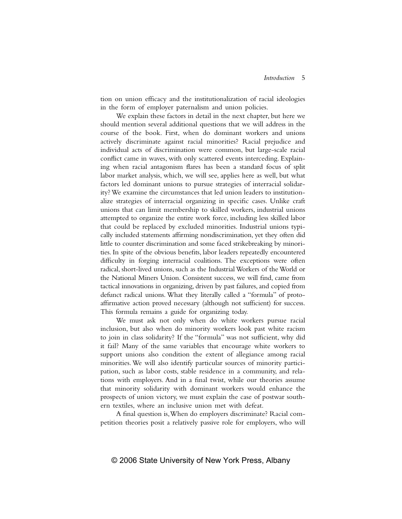tion on union efficacy and the institutionalization of racial ideologies in the form of employer paternalism and union policies.

We explain these factors in detail in the next chapter, but here we should mention several additional questions that we will address in the course of the book. First, when do dominant workers and unions actively discriminate against racial minorities? Racial prejudice and individual acts of discrimination were common, but large-scale racial conflict came in waves, with only scattered events interceding. Explaining when racial antagonism flares has been a standard focus of split labor market analysis, which, we will see, applies here as well, but what factors led dominant unions to pursue strategies of interracial solidarity? We examine the circumstances that led union leaders to institutionalize strategies of interracial organizing in specific cases. Unlike craft unions that can limit membership to skilled workers, industrial unions attempted to organize the entire work force, including less skilled labor that could be replaced by excluded minorities. Industrial unions typically included statements affirming nondiscrimination, yet they often did little to counter discrimination and some faced strikebreaking by minorities. In spite of the obvious benefits, labor leaders repeatedly encountered difficulty in forging interracial coalitions. The exceptions were often radical, short-lived unions, such as the Industrial Workers of the World or the National Miners Union. Consistent success, we will find, came from tactical innovations in organizing, driven by past failures, and copied from defunct radical unions. What they literally called a "formula" of protoaffirmative action proved necessary (although not sufficient) for success. This formula remains a guide for organizing today.

We must ask not only when do white workers pursue racial inclusion, but also when do minority workers look past white racism to join in class solidarity? If the "formula" was not sufficient, why did it fail? Many of the same variables that encourage white workers to support unions also condition the extent of allegiance among racial minorities. We will also identify particular sources of minority participation, such as labor costs, stable residence in a community, and relations with employers. And in a final twist, while our theories assume that minority solidarity with dominant workers would enhance the prospects of union victory, we must explain the case of postwar southern textiles, where an inclusive union met with defeat.

A final question is, When do employers discriminate? Racial competition theories posit a relatively passive role for employers, who will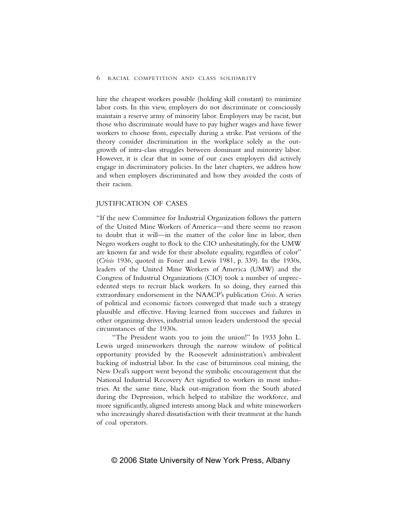#### 6 RACIAL COMPETITION AND CLASS SOLIDARITY

hire the cheapest workers possible (holding skill constant) to minimize labor costs. In this view, employers do not discriminate or consciously maintain a reserve army of minority labor. Employers may be racist, but those who discriminate would have to pay higher wages and have fewer workers to choose from, especially during a strike. Past versions of the theory consider discrimination in the workplace solely as the outgrowth of intra-class struggles between dominant and minority labor. However, it is clear that in some of our cases employers did actively engage in discriminatory policies. In the later chapters, we address how and when employers discriminated and how they avoided the costs of their racism.

### JUSTIFICATION OF CASES

"If the new Committee for Industrial Organization follows the pattern of the United Mine Workers of America—and there seems no reason to doubt that it will—in the matter of the color line in labor, then Negro workers ought to flock to the CIO unhesitatingly, for the UMW are known far and wide for their absolute equality, regardless of color" (*Crisis* 1936, quoted in Foner and Lewis 1981, p. 339). In the 1930s, leaders of the United Mine Workers of America (UMW) and the Congress of Industrial Organizations (CIO) took a number of unprecedented steps to recruit black workers. In so doing, they earned this extraordinary endorsement in the NAACP's publication *Crisis*. A series of political and economic factors converged that made such a strategy plausible and effective. Having learned from successes and failures in other organizing drives, industrial union leaders understood the special circumstances of the 1930s.

"The President wants you to join the union!" In 1933 John L. Lewis urged mineworkers through the narrow window of political opportunity provided by the Roosevelt administration's ambivalent backing of industrial labor. In the case of bituminous coal mining, the New Deal's support went beyond the symbolic encouragement that the National Industrial Recovery Act signified to workers in most industries. At the same time, black out-migration from the South abated during the Depression, which helped to stabilize the workforce, and more significantly, aligned interests among black and white mineworkers who increasingly shared dissatisfaction with their treatment at the hands of coal operators.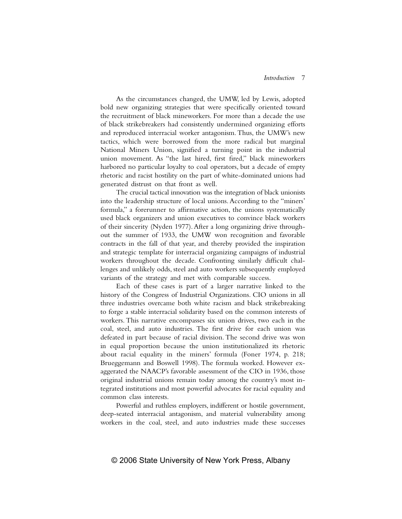As the circumstances changed, the UMW, led by Lewis, adopted bold new organizing strategies that were specifically oriented toward the recruitment of black mineworkers. For more than a decade the use of black strikebreakers had consistently undermined organizing efforts and reproduced interracial worker antagonism. Thus, the UMW's new tactics, which were borrowed from the more radical but marginal National Miners Union, signified a turning point in the industrial union movement. As "the last hired, first fired," black mineworkers harbored no particular loyalty to coal operators, but a decade of empty rhetoric and racist hostility on the part of white-dominated unions had generated distrust on that front as well.

The crucial tactical innovation was the integration of black unionists into the leadership structure of local unions. According to the "miners' formula," a forerunner to affirmative action, the unions systematically used black organizers and union executives to convince black workers of their sincerity (Nyden 1977). After a long organizing drive throughout the summer of 1933, the UMW won recognition and favorable contracts in the fall of that year, and thereby provided the inspiration and strategic template for interracial organizing campaigns of industrial workers throughout the decade. Confronting similarly difficult challenges and unlikely odds, steel and auto workers subsequently employed variants of the strategy and met with comparable success.

Each of these cases is part of a larger narrative linked to the history of the Congress of Industrial Organizations. CIO unions in all three industries overcame both white racism and black strikebreaking to forge a stable interracial solidarity based on the common interests of workers. This narrative encompasses six union drives, two each in the coal, steel, and auto industries. The first drive for each union was defeated in part because of racial division. The second drive was won in equal proportion because the union institutionalized its rhetoric about racial equality in the miners' formula (Foner 1974, p. 218; Brueggemann and Boswell 1998). The formula worked. However exaggerated the NAACP's favorable assessment of the CIO in 1936, those original industrial unions remain today among the country's most integrated institutions and most powerful advocates for racial equality and common class interests.

Powerful and ruthless employers, indifferent or hostile government, deep-seated interracial antagonism, and material vulnerability among workers in the coal, steel, and auto industries made these successes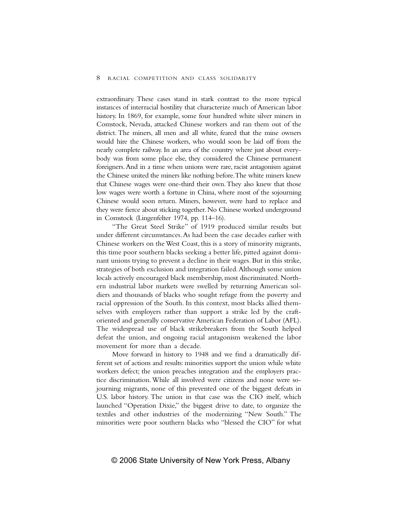extraordinary. These cases stand in stark contrast to the more typical instances of interracial hostility that characterize much of American labor history. In 1869, for example, some four hundred white silver miners in Comstock, Nevada, attacked Chinese workers and ran them out of the district. The miners, all men and all white, feared that the mine owners would hire the Chinese workers, who would soon be laid off from the nearly complete railway. In an area of the country where just about everybody was from some place else, they considered the Chinese permanent foreigners. And in a time when unions were rare, racist antagonism against the Chinese united the miners like nothing before. The white miners knew that Chinese wages were one-third their own. They also knew that those low wages were worth a fortune in China, where most of the sojourning Chinese would soon return. Miners, however, were hard to replace and they were fierce about sticking together. No Chinese worked underground in Comstock (Lingenfelter 1974, pp. 114–16).

"The Great Steel Strike" of 1919 produced similar results but under different circumstances. As had been the case decades earlier with Chinese workers on the West Coast, this is a story of minority migrants, this time poor southern blacks seeking a better life, pitted against dominant unions trying to prevent a decline in their wages. But in this strike, strategies of both exclusion and integration failed. Although some union locals actively encouraged black membership, most discriminated. Northern industrial labor markets were swelled by returning American soldiers and thousands of blacks who sought refuge from the poverty and racial oppression of the South. In this context, most blacks allied themselves with employers rather than support a strike led by the craftoriented and generally conservative American Federation of Labor (AFL). The widespread use of black strikebreakers from the South helped defeat the union, and ongoing racial antagonism weakened the labor movement for more than a decade.

Move forward in history to 1948 and we find a dramatically different set of actions and results: minorities support the union while white workers defect; the union preaches integration and the employers practice discrimination. While all involved were citizens and none were sojourning migrants, none of this prevented one of the biggest defeats in U.S. labor history. The union in that case was the CIO itself, which launched "Operation Dixie," the biggest drive to date, to organize the textiles and other industries of the modernizing "New South." The minorities were poor southern blacks who "blessed the CIO" for what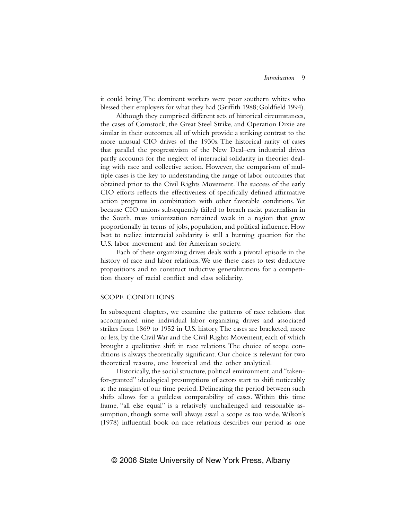it could bring. The dominant workers were poor southern whites who blessed their employers for what they had (Griffith 1988; Goldfield 1994).

Although they comprised different sets of historical circumstances, the cases of Comstock, the Great Steel Strike, and Operation Dixie are similar in their outcomes, all of which provide a striking contrast to the more unusual CIO drives of the 1930s. The historical rarity of cases that parallel the progressivism of the New Deal–era industrial drives partly accounts for the neglect of interracial solidarity in theories dealing with race and collective action. However, the comparison of multiple cases is the key to understanding the range of labor outcomes that obtained prior to the Civil Rights Movement. The success of the early CIO efforts reflects the effectiveness of specifically defined affirmative action programs in combination with other favorable conditions. Yet because CIO unions subsequently failed to breach racist paternalism in the South, mass unionization remained weak in a region that grew proportionally in terms of jobs, population, and political influence. How best to realize interracial solidarity is still a burning question for the U.S. labor movement and for American society.

Each of these organizing drives deals with a pivotal episode in the history of race and labor relations. We use these cases to test deductive propositions and to construct inductive generalizations for a competition theory of racial conflict and class solidarity.

# SCOPE CONDITIONS

In subsequent chapters, we examine the patterns of race relations that accompanied nine individual labor organizing drives and associated strikes from 1869 to 1952 in U.S. history. The cases are bracketed, more or less, by the Civil War and the Civil Rights Movement, each of which brought a qualitative shift in race relations. The choice of scope conditions is always theoretically significant. Our choice is relevant for two theoretical reasons, one historical and the other analytical.

Historically, the social structure, political environment, and "takenfor-granted" ideological presumptions of actors start to shift noticeably at the margins of our time period. Delineating the period between such shifts allows for a guileless comparability of cases. Within this time frame, "all else equal" is a relatively unchallenged and reasonable assumption, though some will always assail a scope as too wide. Wilson's (1978) influential book on race relations describes our period as one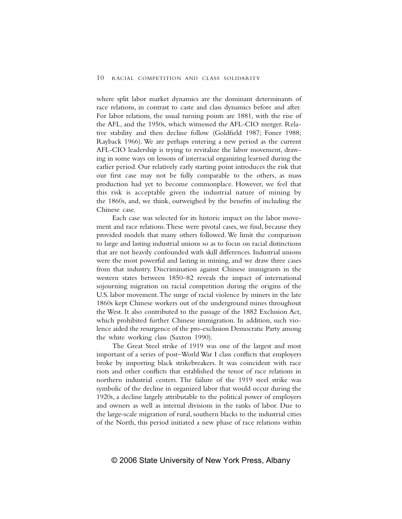where split labor market dynamics are the dominant determinants of race relations, in contrast to caste and class dynamics before and after. For labor relations, the usual turning points are 1881, with the rise of the AFL, and the 1950s, which witnessed the AFL-CIO merger. Relative stability and then decline follow (Goldfield 1987; Foner 1988; Rayback 1966). We are perhaps entering a new period as the current AFL-CIO leadership is trying to revitalize the labor movement, drawing in some ways on lessons of interracial organizing learned during the earlier period. Our relatively early starting point introduces the risk that our first case may not be fully comparable to the others, as mass production had yet to become commonplace. However, we feel that this risk is acceptable given the industrial nature of mining by the 1860s, and, we think, outweighed by the benefits of including the Chinese case.

Each case was selected for its historic impact on the labor movement and race relations. These were pivotal cases, we find, because they provided models that many others followed. We limit the comparison to large and lasting industrial unions so as to focus on racial distinctions that are not heavily confounded with skill differences. Industrial unions were the most powerful and lasting in mining, and we draw three cases from that industry. Discrimination against Chinese immigrants in the western states between 1850–82 reveals the impact of international sojourning migration on racial competition during the origins of the U.S. labor movement. The surge of racial violence by miners in the late 1860s kept Chinese workers out of the underground mines throughout the West. It also contributed to the passage of the 1882 Exclusion Act, which prohibited further Chinese immigration. In addition, such violence aided the resurgence of the pro-exclusion Democratic Party among the white working class (Saxton 1990).

The Great Steel strike of 1919 was one of the largest and most important of a series of post–World War I class conflicts that employers broke by importing black strikebreakers. It was coincident with race riots and other conflicts that established the tenor of race relations in northern industrial centers. The failure of the 1919 steel strike was symbolic of the decline in organized labor that would occur during the 1920s, a decline largely attributable to the political power of employers and owners as well as internal divisions in the ranks of labor. Due to the large-scale migration of rural, southern blacks to the industrial cities of the North, this period initiated a new phase of race relations within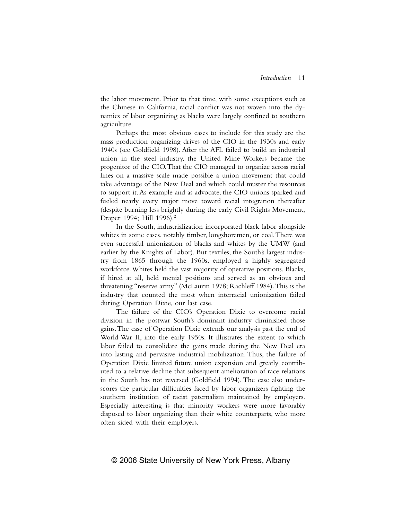the labor movement. Prior to that time, with some exceptions such as the Chinese in California, racial conflict was not woven into the dynamics of labor organizing as blacks were largely confined to southern agriculture.

Perhaps the most obvious cases to include for this study are the mass production organizing drives of the CIO in the 1930s and early 1940s (see Goldfield 1998). After the AFL failed to build an industrial union in the steel industry, the United Mine Workers became the progenitor of the CIO. That the CIO managed to organize across racial lines on a massive scale made possible a union movement that could take advantage of the New Deal and which could muster the resources to support it. As example and as advocate, the CIO unions sparked and fueled nearly every major move toward racial integration thereafter (despite burning less brightly during the early Civil Rights Movement, Draper 1994; Hill 1996).<sup>2</sup>

In the South, industrialization incorporated black labor alongside whites in some cases, notably timber, longshoremen, or coal. There was even successful unionization of blacks and whites by the UMW (and earlier by the Knights of Labor). But textiles, the South's largest industry from 1865 through the 1960s, employed a highly segregated workforce. Whites held the vast majority of operative positions. Blacks, if hired at all, held menial positions and served as an obvious and threatening "reserve army" (McLaurin 1978; Rachleff 1984). This is the industry that counted the most when interracial unionization failed during Operation Dixie, our last case.

The failure of the CIO's Operation Dixie to overcome racial division in the postwar South's dominant industry diminished those gains. The case of Operation Dixie extends our analysis past the end of World War II, into the early 1950s. It illustrates the extent to which labor failed to consolidate the gains made during the New Deal era into lasting and pervasive industrial mobilization. Thus, the failure of Operation Dixie limited future union expansion and greatly contributed to a relative decline that subsequent amelioration of race relations in the South has not reversed (Goldfield 1994). The case also underscores the particular difficulties faced by labor organizers fighting the southern institution of racist paternalism maintained by employers. Especially interesting is that minority workers were more favorably disposed to labor organizing than their white counterparts, who more often sided with their employers.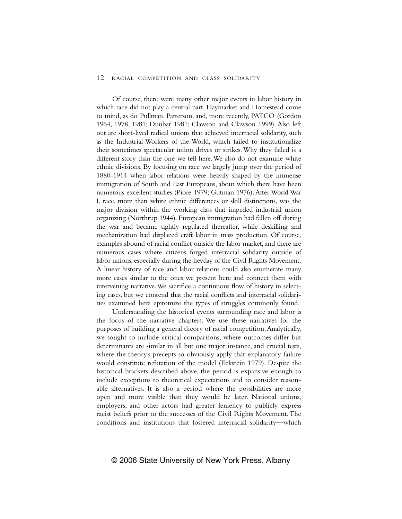# 12 RACIAL COMPETITION AND CLASS SOLIDARITY

Of course, there were many other major events in labor history in which race did not play a central part. Haymarket and Homestead come to mind, as do Pullman, Patterson, and, more recently, PATCO (Gordon 1964, 1978, 1981; Dunbar 1981; Clawson and Clawson 1999). Also left out are short-lived radical unions that achieved interracial solidarity, such as the Industrial Workers of the World, which failed to institutionalize their sometimes spectacular union drives or strikes. Why they failed is a different story than the one we tell here. We also do not examine white ethnic divisions. By focusing on race we largely jump over the period of 1880-1914 when labor relations were heavily shaped by the immense immigration of South and East Europeans, about which there have been numerous excellent studies (Piore 1979; Gutman 1976). After World War I, race, more than white ethnic differences or skill distinctions, was the major division within the working class that impeded industrial union organizing (Northrup 1944). European immigration had fallen off during the war and became tightly regulated thereafter, while deskilling and mechanization had displaced craft labor in mass production. Of course, examples abound of racial conflict outside the labor market, and there are numerous cases where citizens forged interracial solidarity outside of labor unions, especially during the heyday of the Civil Rights Movement. A linear history of race and labor relations could also enumerate many more cases similar to the ones we present here and connect them with intervening narrative. We sacrifice a continuous flow of history in selecting cases, but we contend that the racial conflicts and interracial solidarities examined here epitomize the types of struggles commonly found.

Understanding the historical events surrounding race and labor is the focus of the narrative chapters. We use these narratives for the purposes of building a general theory of racial competition. Analytically, we sought to include critical comparisons, where outcomes differ but determinants are similar in all but one major instance, and crucial tests, where the theory's precepts so obviously apply that explanatory failure would constitute refutation of the model (Eckstein 1979). Despite the historical brackets described above, the period is expansive enough to include exceptions to theoretical expectations and to consider reasonable alternatives. It is also a period where the possibilities are more open and more visible than they would be later. National unions, employers, and other actors had greater leniency to publicly express racist beliefs prior to the successes of the Civil Rights Movement. The conditions and institutions that fostered interracial solidarity—which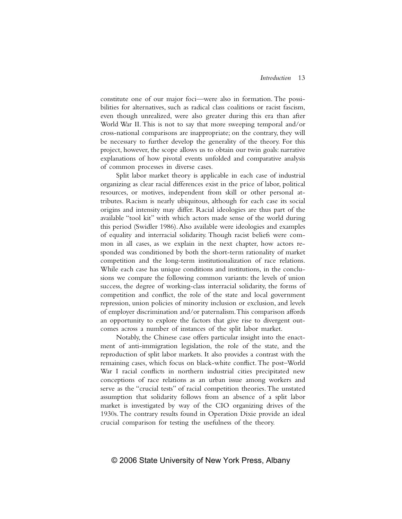constitute one of our major foci—were also in formation. The possibilities for alternatives, such as radical class coalitions or racist fascism, even though unrealized, were also greater during this era than after World War II. This is not to say that more sweeping temporal and/or cross-national comparisons are inappropriate; on the contrary, they will be necessary to further develop the generality of the theory. For this project, however, the scope allows us to obtain our twin goals: narrative explanations of how pivotal events unfolded and comparative analysis of common processes in diverse cases.

Split labor market theory is applicable in each case of industrial organizing as clear racial differences exist in the price of labor, political resources, or motives, independent from skill or other personal attributes. Racism is nearly ubiquitous, although for each case its social origins and intensity may differ. Racial ideologies are thus part of the available "tool kit" with which actors made sense of the world during this period (Swidler 1986). Also available were ideologies and examples of equality and interracial solidarity. Though racist beliefs were common in all cases, as we explain in the next chapter, how actors responded was conditioned by both the short-term rationality of market competition and the long-term institutionalization of race relations. While each case has unique conditions and institutions, in the conclusions we compare the following common variants: the levels of union success, the degree of working-class interracial solidarity, the forms of competition and conflict, the role of the state and local government repression, union policies of minority inclusion or exclusion, and levels of employer discrimination and/or paternalism. This comparison affords an opportunity to explore the factors that give rise to divergent outcomes across a number of instances of the split labor market.

Notably, the Chinese case offers particular insight into the enactment of anti-immigration legislation, the role of the state, and the reproduction of split labor markets. It also provides a contrast with the remaining cases, which focus on black-white conflict. The post–World War I racial conflicts in northern industrial cities precipitated new conceptions of race relations as an urban issue among workers and serve as the "crucial tests" of racial competition theories. The unstated assumption that solidarity follows from an absence of a split labor market is investigated by way of the CIO organizing drives of the 1930s. The contrary results found in Operation Dixie provide an ideal crucial comparison for testing the usefulness of the theory.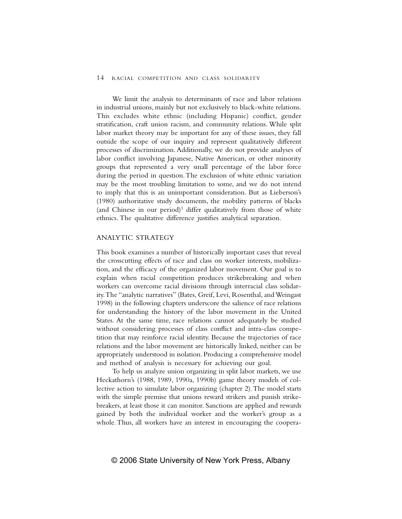## 14 RACIAL COMPETITION AND CLASS SOLIDARITY

We limit the analysis to determinants of race and labor relations in industrial unions, mainly but not exclusively to black-white relations. This excludes white ethnic (including Hispanic) conflict, gender stratification, craft union racism, and community relations. While split labor market theory may be important for any of these issues, they fall outside the scope of our inquiry and represent qualitatively different processes of discrimination. Additionally, we do not provide analyses of labor conflict involving Japanese, Native American, or other minority groups that represented a very small percentage of the labor force during the period in question. The exclusion of white ethnic variation may be the most troubling limitation to some, and we do not intend to imply that this is an unimportant consideration. But as Lieberson's (1980) authoritative study documents, the mobility patterns of blacks (and Chinese in our period)<sup>3</sup> differ qualitatively from those of white ethnics. The qualitative difference justifies analytical separation.

### ANALYTIC STRATEGY

This book examines a number of historically important cases that reveal the crosscutting effects of race and class on worker interests, mobilization, and the efficacy of the organized labor movement. Our goal is to explain when racial competition produces strikebreaking and when workers can overcome racial divisions through interracial class solidarity. The "analytic narratives" (Bates, Greif, Levi, Rosenthal, and Weingast 1998) in the following chapters underscore the salience of race relations for understanding the history of the labor movement in the United States. At the same time, race relations cannot adequately be studied without considering processes of class conflict and intra-class competition that may reinforce racial identity. Because the trajectories of race relations and the labor movement are historically linked, neither can be appropriately understood in isolation. Producing a comprehensive model and method of analysis is necessary for achieving our goal.

To help us analyze union organizing in split labor markets, we use Heckathorn's (1988, 1989, 1990a, 1990b) game theory models of collective action to simulate labor organizing (chapter 2). The model starts with the simple premise that unions reward strikers and punish strikebreakers, at least those it can monitor. Sanctions are applied and rewards gained by both the individual worker and the worker's group as a whole. Thus, all workers have an interest in encouraging the coopera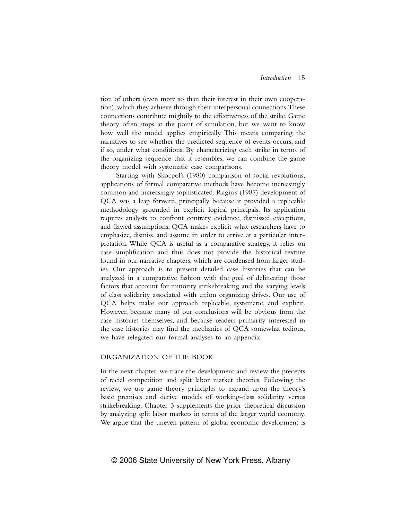tion of others (even more so than their interest in their own cooperation), which they achieve through their interpersonal connections. These connections contribute mightily to the effectiveness of the strike. Game theory often stops at the point of simulation, but we want to know how well the model applies empirically. This means comparing the narratives to see whether the predicted sequence of events occurs, and if so, under what conditions. By characterizing each strike in terms of the organizing sequence that it resembles, we can combine the game theory model with systematic case comparisons.

Starting with Skocpol's (1980) comparison of social revolutions, applications of formal comparative methods have become increasingly common and increasingly sophisticated. Ragin's (1987) development of QCA was a leap forward, principally because it provided a replicable methodology grounded in explicit logical principals. Its application requires analysts to confront contrary evidence, dismissed exceptions, and flawed assumptions; QCA makes explicit what researchers have to emphasize, dismiss, and assume in order to arrive at a particular interpretation. While QCA is useful as a comparative strategy, it relies on case simplification and thus does not provide the historical texture found in our narrative chapters, which are condensed from larger studies. Our approach is to present detailed case histories that can be analyzed in a comparative fashion with the goal of delineating those factors that account for minority strikebreaking and the varying levels of class solidarity associated with union organizing drives. Our use of QCA helps make our approach replicable, systematic, and explicit. However, because many of our conclusions will be obvious from the case histories themselves, and because readers primarily interested in the case histories may find the mechanics of QCA somewhat tedious, we have relegated our formal analyses to an appendix.

# ORGANIZATION OF THE BOOK

In the next chapter, we trace the development and review the precepts of racial competition and split labor market theories. Following the review, we use game theory principles to expand upon the theory's basic premises and derive models of working-class solidarity versus strikebreaking. Chapter 3 supplements the prior theoretical discussion by analyzing split labor markets in terms of the larger world economy. We argue that the uneven pattern of global economic development is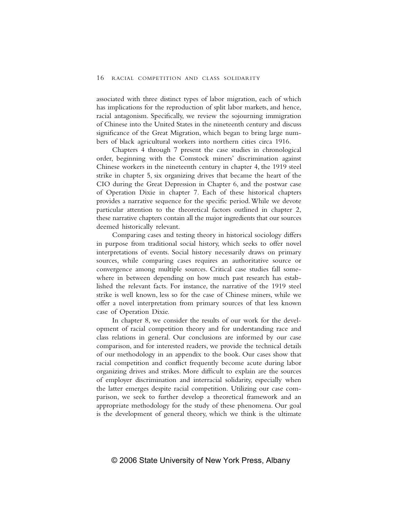associated with three distinct types of labor migration, each of which has implications for the reproduction of split labor markets, and hence, racial antagonism. Specifically, we review the sojourning immigration of Chinese into the United States in the nineteenth century and discuss significance of the Great Migration, which began to bring large numbers of black agricultural workers into northern cities circa 1916.

Chapters 4 through 7 present the case studies in chronological order, beginning with the Comstock miners' discrimination against Chinese workers in the nineteenth century in chapter 4, the 1919 steel strike in chapter 5, six organizing drives that became the heart of the CIO during the Great Depression in Chapter 6, and the postwar case of Operation Dixie in chapter 7. Each of these historical chapters provides a narrative sequence for the specific period. While we devote particular attention to the theoretical factors outlined in chapter 2, these narrative chapters contain all the major ingredients that our sources deemed historically relevant.

Comparing cases and testing theory in historical sociology differs in purpose from traditional social history, which seeks to offer novel interpretations of events. Social history necessarily draws on primary sources, while comparing cases requires an authoritative source or convergence among multiple sources. Critical case studies fall somewhere in between depending on how much past research has established the relevant facts. For instance, the narrative of the 1919 steel strike is well known, less so for the case of Chinese miners, while we offer a novel interpretation from primary sources of that less known case of Operation Dixie.

In chapter 8, we consider the results of our work for the development of racial competition theory and for understanding race and class relations in general. Our conclusions are informed by our case comparison, and for interested readers, we provide the technical details of our methodology in an appendix to the book. Our cases show that racial competition and conflict frequently become acute during labor organizing drives and strikes. More difficult to explain are the sources of employer discrimination and interracial solidarity, especially when the latter emerges despite racial competition. Utilizing our case comparison, we seek to further develop a theoretical framework and an appropriate methodology for the study of these phenomena. Our goal is the development of general theory, which we think is the ultimate